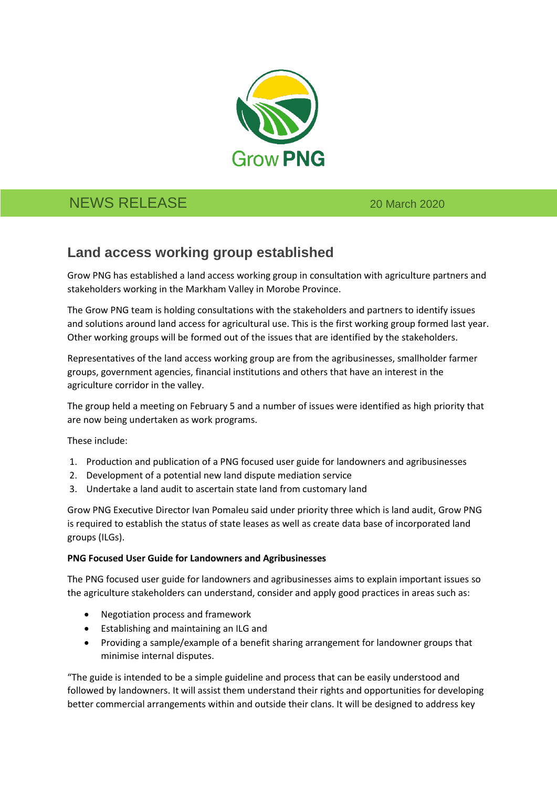

# NEWS RELEASE 20 March 2020

## **Land access working group established**

Grow PNG has established a land access working group in consultation with agriculture partners and stakeholders working in the Markham Valley in Morobe Province.

The Grow PNG team is holding consultations with the stakeholders and partners to identify issues and solutions around land access for agricultural use. This is the first working group formed last year. Other working groups will be formed out of the issues that are identified by the stakeholders.

Representatives of the land access working group are from the agribusinesses, smallholder farmer groups, government agencies, financial institutions and others that have an interest in the agriculture corridor in the valley.

The group held a meeting on February 5 and a number of issues were identified as high priority that are now being undertaken as work programs.

These include:

- 1. Production and publication of a PNG focused user guide for landowners and agribusinesses
- 2. Development of a potential new land dispute mediation service
- 3. Undertake a land audit to ascertain state land from customary land

Grow PNG Executive Director Ivan Pomaleu said under priority three which is land audit, Grow PNG is required to establish the status of state leases as well as create data base of incorporated land groups (ILGs).

#### **PNG Focused User Guide for Landowners and Agribusinesses**

The PNG focused user guide for landowners and agribusinesses aims to explain important issues so the agriculture stakeholders can understand, consider and apply good practices in areas such as:

- Negotiation process and framework
- Establishing and maintaining an ILG and
- Providing a sample/example of a benefit sharing arrangement for landowner groups that minimise internal disputes.

"The guide is intended to be a simple guideline and process that can be easily understood and followed by landowners. It will assist them understand their rights and opportunities for developing better commercial arrangements within and outside their clans. It will be designed to address key